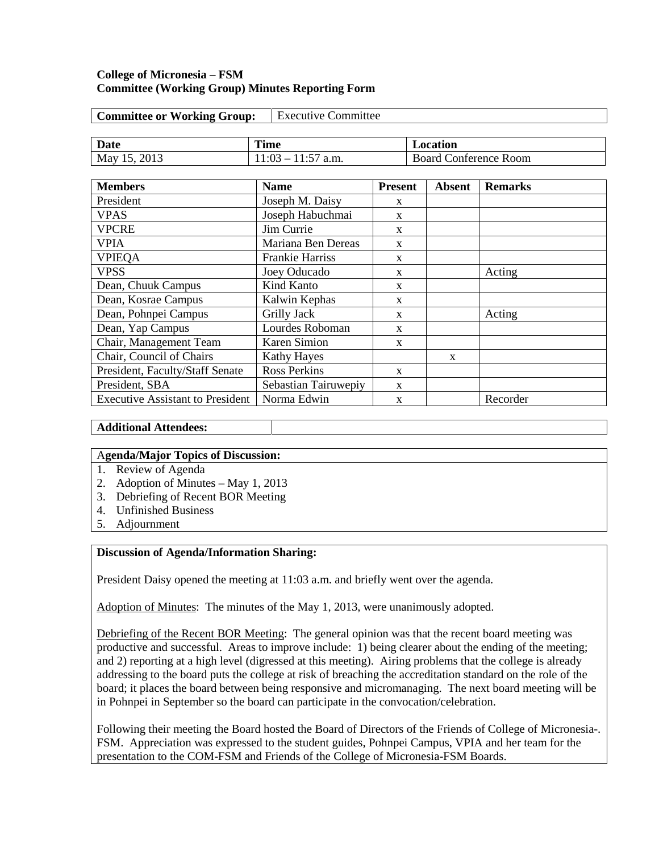## **College of Micronesia – FSM Committee (Working Group) Minutes Reporting Form**

| <b>Executive Committee</b><br><b>Committee or Working Group:</b> |                        |                |  |                              |                |  |
|------------------------------------------------------------------|------------------------|----------------|--|------------------------------|----------------|--|
|                                                                  |                        |                |  |                              |                |  |
| Date                                                             | <b>Time</b>            |                |  | Location                     |                |  |
| May 15, 2013                                                     | $11:03 - 11:57$ a.m.   |                |  | <b>Board Conference Room</b> |                |  |
|                                                                  |                        |                |  |                              |                |  |
| <b>Members</b>                                                   | <b>Name</b>            | <b>Present</b> |  | <b>Absent</b>                | <b>Remarks</b> |  |
| President                                                        | Joseph M. Daisy        | $\mathbf{x}$   |  |                              |                |  |
| <b>VPAS</b>                                                      | Joseph Habuchmai       | X              |  |                              |                |  |
| <b>VPCRE</b>                                                     | Jim Currie             | $\mathbf{x}$   |  |                              |                |  |
| <b>VPIA</b>                                                      | Mariana Ben Dereas     | $\mathbf{x}$   |  |                              |                |  |
| <b>VPIEQA</b>                                                    | <b>Frankie Harriss</b> | X              |  |                              |                |  |
| <b>VPSS</b>                                                      | Joey Oducado           | X              |  |                              | Acting         |  |
| Dean, Chuuk Campus                                               | Kind Kanto             | X              |  |                              |                |  |
| Dean, Kosrae Campus                                              | Kalwin Kephas          | $\mathbf{x}$   |  |                              |                |  |
| Dean, Pohnpei Campus                                             | Grilly Jack            | $\mathbf{x}$   |  |                              | Acting         |  |
| Dean, Yap Campus                                                 | Lourdes Roboman        | X              |  |                              |                |  |
| Chair, Management Team                                           | <b>Karen Simion</b>    | $\mathbf{x}$   |  |                              |                |  |
| Chair, Council of Chairs                                         | <b>Kathy Hayes</b>     |                |  | $\mathbf{x}$                 |                |  |
| President, Faculty/Staff Senate                                  | <b>Ross Perkins</b>    | $\mathbf{x}$   |  |                              |                |  |
| President, SBA                                                   | Sebastian Tairuwepiy   | X              |  |                              |                |  |
| <b>Executive Assistant to President</b>                          | Norma Edwin            | X              |  |                              | Recorder       |  |

**Additional Attendees:**

### A**genda/Major Topics of Discussion:**

- 1. Review of Agenda
- 2. Adoption of Minutes May 1, 2013
- 3. Debriefing of Recent BOR Meeting
- 4. Unfinished Business
- 5. Adjournment

## **Discussion of Agenda/Information Sharing:**

President Daisy opened the meeting at 11:03 a.m. and briefly went over the agenda.

Adoption of Minutes: The minutes of the May 1, 2013, were unanimously adopted.

Debriefing of the Recent BOR Meeting: The general opinion was that the recent board meeting was productive and successful. Areas to improve include: 1) being clearer about the ending of the meeting; and 2) reporting at a high level (digressed at this meeting). Airing problems that the college is already addressing to the board puts the college at risk of breaching the accreditation standard on the role of the board; it places the board between being responsive and micromanaging. The next board meeting will be in Pohnpei in September so the board can participate in the convocation/celebration.

Following their meeting the Board hosted the Board of Directors of the Friends of College of Micronesia-. FSM. Appreciation was expressed to the student guides, Pohnpei Campus, VPIA and her team for the presentation to the COM-FSM and Friends of the College of Micronesia-FSM Boards.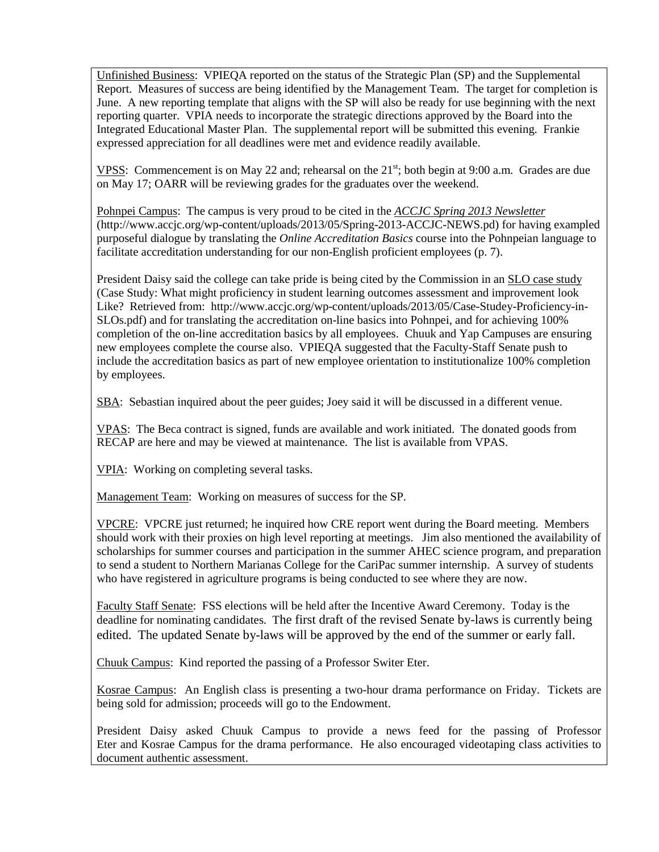Unfinished Business: VPIEQA reported on the status of the Strategic Plan (SP) and the Supplemental Report. Measures of success are being identified by the Management Team. The target for completion is June. A new reporting template that aligns with the SP will also be ready for use beginning with the next reporting quarter. VPIA needs to incorporate the strategic directions approved by the Board into the Integrated Educational Master Plan. The supplemental report will be submitted this evening. Frankie expressed appreciation for all deadlines were met and evidence readily available.

VPSS: Commencement is on May 22 and; rehearsal on the  $21^{st}$ ; both begin at 9:00 a.m. Grades are due on May 17; OARR will be reviewing grades for the graduates over the weekend.

Pohnpei Campus: The campus is very proud to be cited in the *[ACCJC Spring 2013 Newsletter](http://www.accjc.org/wp-content/uploads/2013/05/Spring-2013-ACCJC-NEWS.pdf)* (http://www.accjc.org/wp-content/uploads/2013/05/Spring-2013-ACCJC-NEWS.pd) for having exampled purposeful dialogue by translating the *Online Accreditation Basics* course into the Pohnpeian language to facilitate accreditation understanding for our non-English proficient employees (p. 7).

President Daisy said the college can take pride is being cited by the Commission in an [SLO case study](http://www.accjc.org/wp-content/uploads/2013/05/Case-Study-Proficiency-in-SLOs.pdf) (Case Study: What might proficiency in student learning outcomes assessment and improvement look Like? Retrieved from: http://www.accjc.org/wp-content/uploads/2013/05/Case-Studey-Proficiency-in-SLOs.pdf) and for translating the accreditation on-line basics into Pohnpei, and for achieving 100% completion of the on-line accreditation basics by all employees. Chuuk and Yap Campuses are ensuring new employees complete the course also. VPIEQA suggested that the Faculty-Staff Senate push to include the accreditation basics as part of new employee orientation to institutionalize 100% completion by employees.

SBA: Sebastian inquired about the peer guides; Joey said it will be discussed in a different venue.

VPAS: The Beca contract is signed, funds are available and work initiated. The donated goods from RECAP are here and may be viewed at maintenance. The list is available from VPAS.

VPIA: Working on completing several tasks.

Management Team: Working on measures of success for the SP.

VPCRE: VPCRE just returned; he inquired how CRE report went during the Board meeting. Members should work with their proxies on high level reporting at meetings. Jim also mentioned the availability of scholarships for summer courses and participation in the summer AHEC science program, and preparation to send a student to Northern Marianas College for the CariPac summer internship. A survey of students who have registered in agriculture programs is being conducted to see where they are now.

Faculty Staff Senate: FSS elections will be held after the Incentive Award Ceremony. Today is the deadline for nominating candidates. The first draft of the revised Senate by-laws is currently being edited. The updated Senate by-laws will be approved by the end of the summer or early fall.

Chuuk Campus: Kind reported the passing of a Professor Switer Eter.

Kosrae Campus: An English class is presenting a two-hour drama performance on Friday. Tickets are being sold for admission; proceeds will go to the Endowment.

President Daisy asked Chuuk Campus to provide a news feed for the passing of Professor Eter and Kosrae Campus for the drama performance. He also encouraged videotaping class activities to document authentic assessment.